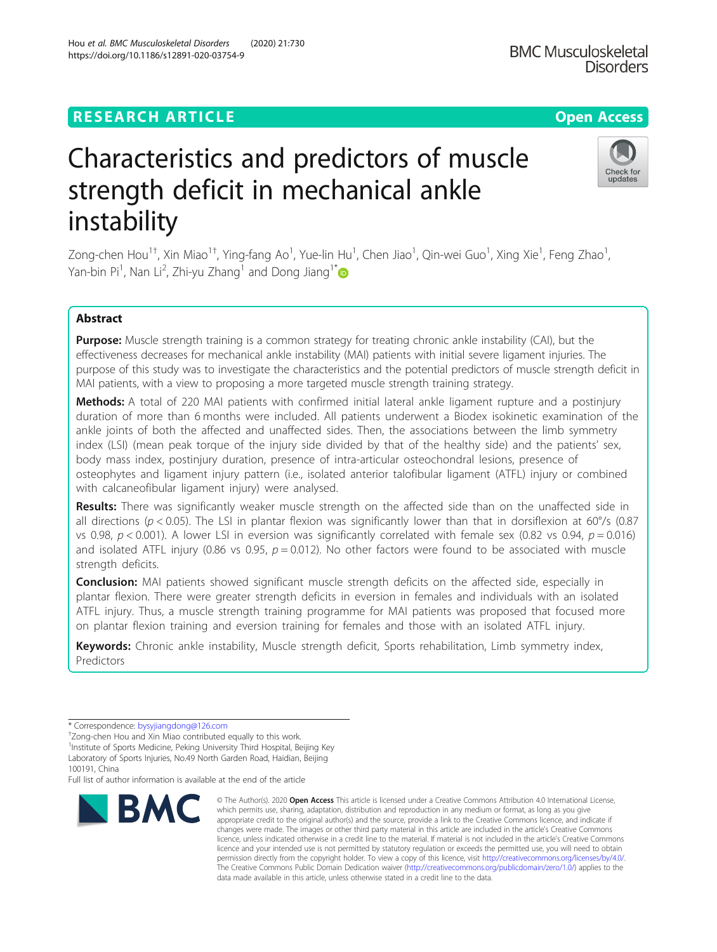## **RESEARCH ARTICLE Example 2014 12:30 The Contract of Contract ACCESS**

# Characteristics and predictors of muscle strength deficit in mechanical ankle instability

Zong-chen Hou<sup>1†</sup>, Xin Miao<sup>1†</sup>, Ying-fang Ao<sup>1</sup>, Yue-lin Hu<sup>1</sup>, Chen Jiao<sup>1</sup>, Qin-wei Guo<sup>1</sup>, Xing Xie<sup>1</sup>, Feng Zhao<sup>1</sup> , Yan-bin Pi<sup>1</sup>, Nan Li<sup>2</sup>, Zhi-yu Zhang<sup>1</sup> and Dong Jiang<sup>1\*</sup>

## Abstract

Purpose: Muscle strength training is a common strategy for treating chronic ankle instability (CAI), but the effectiveness decreases for mechanical ankle instability (MAI) patients with initial severe ligament injuries. The purpose of this study was to investigate the characteristics and the potential predictors of muscle strength deficit in MAI patients, with a view to proposing a more targeted muscle strength training strategy.

Methods: A total of 220 MAI patients with confirmed initial lateral ankle ligament rupture and a postinjury duration of more than 6 months were included. All patients underwent a Biodex isokinetic examination of the ankle joints of both the affected and unaffected sides. Then, the associations between the limb symmetry index (LSI) (mean peak torque of the injury side divided by that of the healthy side) and the patients' sex, body mass index, postinjury duration, presence of intra-articular osteochondral lesions, presence of osteophytes and ligament injury pattern (i.e., isolated anterior talofibular ligament (ATFL) injury or combined with calcaneofibular ligament injury) were analysed.

Results: There was significantly weaker muscle strength on the affected side than on the unaffected side in all directions ( $p < 0.05$ ). The LSI in plantar flexion was significantly lower than that in dorsiflexion at 60°/s (0.87 vs 0.98,  $p < 0.001$ ). A lower LSI in eversion was significantly correlated with female sex (0.82 vs 0.94,  $p = 0.016$ ) and isolated ATFL injury (0.86 vs 0.95,  $p = 0.012$ ). No other factors were found to be associated with muscle strength deficits.

**Conclusion:** MAI patients showed significant muscle strength deficits on the affected side, especially in plantar flexion. There were greater strength deficits in eversion in females and individuals with an isolated ATFL injury. Thus, a muscle strength training programme for MAI patients was proposed that focused more on plantar flexion training and eversion training for females and those with an isolated ATFL injury.

Keywords: Chronic ankle instability, Muscle strength deficit, Sports rehabilitation, Limb symmetry index, Predictors

**BMC** 

changes were made. The images or other third party material in this article are included in the article's Creative Commons licence, unless indicated otherwise in a credit line to the material. If material is not included in the article's Creative Commons licence and your intended use is not permitted by statutory regulation or exceeds the permitted use, you will need to obtain permission directly from the copyright holder. To view a copy of this licence, visit [http://creativecommons.org/licenses/by/4.0/.](http://creativecommons.org/licenses/by/4.0/) The Creative Commons Public Domain Dedication waiver [\(http://creativecommons.org/publicdomain/zero/1.0/](http://creativecommons.org/publicdomain/zero/1.0/)) applies to the data made available in this article, unless otherwise stated in a credit line to the data.



**BMC Musculoskeletal** 



<sup>\*</sup> Correspondence: [bysyjiangdong@126.com](mailto:bysyjiangdong@126.com) †

<sup>&</sup>lt;sup>+</sup>Zong-chen Hou and Xin Miao contributed equally to this work.

<sup>&</sup>lt;sup>1</sup>Institute of Sports Medicine, Peking University Third Hospital, Beijing Key Laboratory of Sports Injuries, No.49 North Garden Road, Haidian, Beijing

<sup>100191,</sup> China Full list of author information is available at the end of the article

<sup>©</sup> The Author(s), 2020 **Open Access** This article is licensed under a Creative Commons Attribution 4.0 International License, which permits use, sharing, adaptation, distribution and reproduction in any medium or format, as long as you give appropriate credit to the original author(s) and the source, provide a link to the Creative Commons licence, and indicate if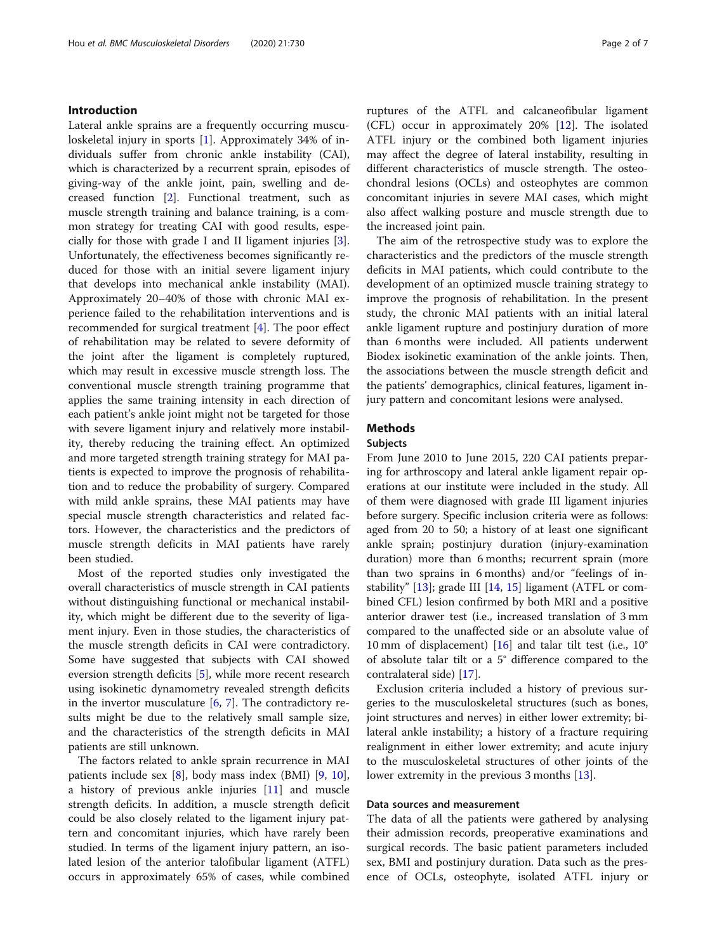## Introduction

Lateral ankle sprains are a frequently occurring musculoskeletal injury in sports [[1\]](#page-6-0). Approximately 34% of individuals suffer from chronic ankle instability (CAI), which is characterized by a recurrent sprain, episodes of giving-way of the ankle joint, pain, swelling and decreased function [[2\]](#page-6-0). Functional treatment, such as muscle strength training and balance training, is a common strategy for treating CAI with good results, especially for those with grade I and II ligament injuries [\[3](#page-6-0)]. Unfortunately, the effectiveness becomes significantly reduced for those with an initial severe ligament injury that develops into mechanical ankle instability (MAI). Approximately 20–40% of those with chronic MAI experience failed to the rehabilitation interventions and is recommended for surgical treatment [[4\]](#page-6-0). The poor effect of rehabilitation may be related to severe deformity of the joint after the ligament is completely ruptured, which may result in excessive muscle strength loss. The conventional muscle strength training programme that applies the same training intensity in each direction of each patient's ankle joint might not be targeted for those with severe ligament injury and relatively more instability, thereby reducing the training effect. An optimized and more targeted strength training strategy for MAI patients is expected to improve the prognosis of rehabilitation and to reduce the probability of surgery. Compared with mild ankle sprains, these MAI patients may have special muscle strength characteristics and related factors. However, the characteristics and the predictors of muscle strength deficits in MAI patients have rarely been studied.

Most of the reported studies only investigated the overall characteristics of muscle strength in CAI patients without distinguishing functional or mechanical instability, which might be different due to the severity of ligament injury. Even in those studies, the characteristics of the muscle strength deficits in CAI were contradictory. Some have suggested that subjects with CAI showed eversion strength deficits [\[5](#page-6-0)], while more recent research using isokinetic dynamometry revealed strength deficits in the invertor musculature  $[6, 7]$  $[6, 7]$  $[6, 7]$ . The contradictory results might be due to the relatively small sample size, and the characteristics of the strength deficits in MAI patients are still unknown.

The factors related to ankle sprain recurrence in MAI patients include sex [[8\]](#page-6-0), body mass index (BMI) [[9,](#page-6-0) [10](#page-6-0)], a history of previous ankle injuries [\[11\]](#page-6-0) and muscle strength deficits. In addition, a muscle strength deficit could be also closely related to the ligament injury pattern and concomitant injuries, which have rarely been studied. In terms of the ligament injury pattern, an isolated lesion of the anterior talofibular ligament (ATFL) occurs in approximately 65% of cases, while combined ruptures of the ATFL and calcaneofibular ligament (CFL) occur in approximately 20% [[12\]](#page-6-0). The isolated ATFL injury or the combined both ligament injuries may affect the degree of lateral instability, resulting in different characteristics of muscle strength. The osteochondral lesions (OCLs) and osteophytes are common concomitant injuries in severe MAI cases, which might also affect walking posture and muscle strength due to the increased joint pain.

The aim of the retrospective study was to explore the characteristics and the predictors of the muscle strength deficits in MAI patients, which could contribute to the development of an optimized muscle training strategy to improve the prognosis of rehabilitation. In the present study, the chronic MAI patients with an initial lateral ankle ligament rupture and postinjury duration of more than 6 months were included. All patients underwent Biodex isokinetic examination of the ankle joints. Then, the associations between the muscle strength deficit and the patients' demographics, clinical features, ligament injury pattern and concomitant lesions were analysed.

## Methods

## Subjects

From June 2010 to June 2015, 220 CAI patients preparing for arthroscopy and lateral ankle ligament repair operations at our institute were included in the study. All of them were diagnosed with grade III ligament injuries before surgery. Specific inclusion criteria were as follows: aged from 20 to 50; a history of at least one significant ankle sprain; postinjury duration (injury-examination duration) more than 6 months; recurrent sprain (more than two sprains in 6 months) and/or "feelings of in-stability" [\[13](#page-6-0)]; grade III [[14,](#page-6-0) [15\]](#page-6-0) ligament (ATFL or combined CFL) lesion confirmed by both MRI and a positive anterior drawer test (i.e., increased translation of 3 mm compared to the unaffected side or an absolute value of 10 mm of displacement) [[16\]](#page-6-0) and talar tilt test (i.e., 10° of absolute talar tilt or a 5° difference compared to the contralateral side) [\[17](#page-6-0)].

Exclusion criteria included a history of previous surgeries to the musculoskeletal structures (such as bones, joint structures and nerves) in either lower extremity; bilateral ankle instability; a history of a fracture requiring realignment in either lower extremity; and acute injury to the musculoskeletal structures of other joints of the lower extremity in the previous 3 months [\[13\]](#page-6-0).

## Data sources and measurement

The data of all the patients were gathered by analysing their admission records, preoperative examinations and surgical records. The basic patient parameters included sex, BMI and postinjury duration. Data such as the presence of OCLs, osteophyte, isolated ATFL injury or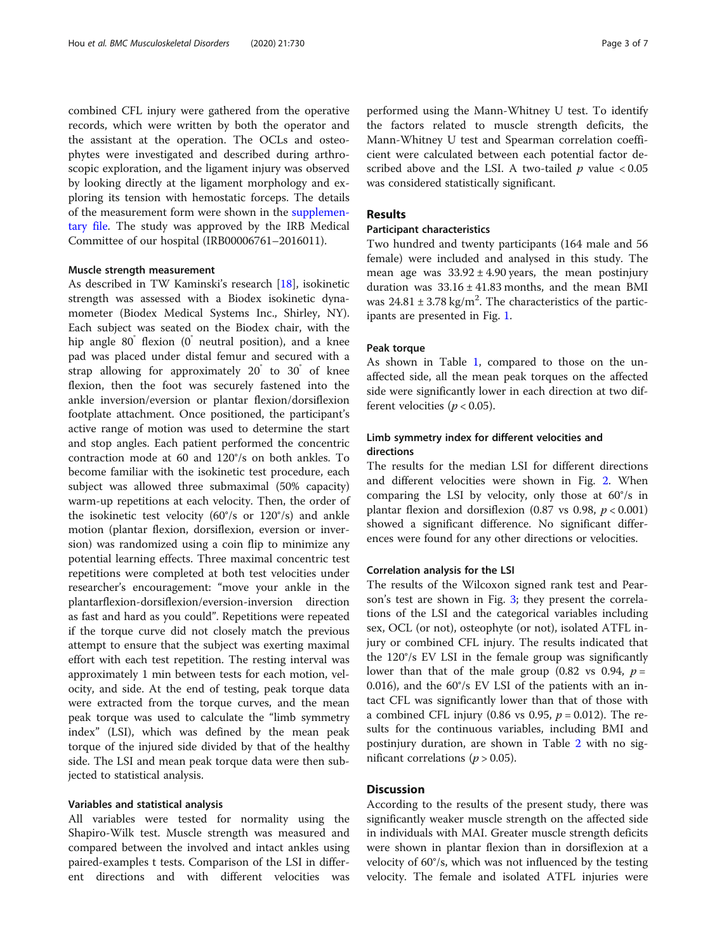combined CFL injury were gathered from the operative records, which were written by both the operator and the assistant at the operation. The OCLs and osteophytes were investigated and described during arthroscopic exploration, and the ligament injury was observed by looking directly at the ligament morphology and exploring its tension with hemostatic forceps. The details of the measurement form were shown in the [supplemen](#page-5-0)[tary file](#page-5-0). The study was approved by the IRB Medical Committee of our hospital (IRB00006761–2016011).

#### Muscle strength measurement

As described in TW Kaminski's research [[18\]](#page-6-0), isokinetic strength was assessed with a Biodex isokinetic dynamometer (Biodex Medical Systems Inc., Shirley, NY). Each subject was seated on the Biodex chair, with the hip angle 80<sup>°</sup> flexion (0<sup>°</sup> neutral position), and a knee pad was placed under distal femur and secured with a strap allowing for approximately 20° to 30° of knee flexion, then the foot was securely fastened into the ankle inversion/eversion or plantar flexion/dorsiflexion footplate attachment. Once positioned, the participant's active range of motion was used to determine the start and stop angles. Each patient performed the concentric contraction mode at 60 and 120°/s on both ankles. To become familiar with the isokinetic test procedure, each subject was allowed three submaximal (50% capacity) warm-up repetitions at each velocity. Then, the order of the isokinetic test velocity (60°/s or 120°/s) and ankle motion (plantar flexion, dorsiflexion, eversion or inversion) was randomized using a coin flip to minimize any potential learning effects. Three maximal concentric test repetitions were completed at both test velocities under researcher's encouragement: "move your ankle in the plantarflexion-dorsiflexion/eversion-inversion direction as fast and hard as you could". Repetitions were repeated if the torque curve did not closely match the previous attempt to ensure that the subject was exerting maximal effort with each test repetition. The resting interval was approximately 1 min between tests for each motion, velocity, and side. At the end of testing, peak torque data were extracted from the torque curves, and the mean peak torque was used to calculate the "limb symmetry index" (LSI), which was defined by the mean peak torque of the injured side divided by that of the healthy side. The LSI and mean peak torque data were then subjected to statistical analysis.

#### Variables and statistical analysis

All variables were tested for normality using the Shapiro-Wilk test. Muscle strength was measured and compared between the involved and intact ankles using paired-examples t tests. Comparison of the LSI in different directions and with different velocities was

performed using the Mann-Whitney U test. To identify the factors related to muscle strength deficits, the Mann-Whitney U test and Spearman correlation coefficient were calculated between each potential factor described above and the LSI. A two-tailed  $p$  value < 0.05 was considered statistically significant.

## Results

## Participant characteristics

Two hundred and twenty participants (164 male and 56 female) were included and analysed in this study. The mean age was  $33.92 \pm 4.90$  years, the mean postinjury duration was  $33.16 \pm 41.83$  months, and the mean BMI was  $24.81 \pm 3.78$  kg/m<sup>2</sup>. The characteristics of the participants are presented in Fig. [1](#page-3-0).

#### Peak torque

As shown in Table [1,](#page-3-0) compared to those on the unaffected side, all the mean peak torques on the affected side were significantly lower in each direction at two different velocities ( $p < 0.05$ ).

## Limb symmetry index for different velocities and directions

The results for the median LSI for different directions and different velocities were shown in Fig. [2.](#page-4-0) When comparing the LSI by velocity, only those at 60°/s in plantar flexion and dorsiflexion (0.87 vs 0.98,  $p < 0.001$ ) showed a significant difference. No significant differences were found for any other directions or velocities.

#### Correlation analysis for the LSI

The results of the Wilcoxon signed rank test and Pearson's test are shown in Fig. [3;](#page-4-0) they present the correlations of the LSI and the categorical variables including sex, OCL (or not), osteophyte (or not), isolated ATFL injury or combined CFL injury. The results indicated that the 120°/s EV LSI in the female group was significantly lower than that of the male group (0.82 vs 0.94,  $p =$ 0.016), and the 60°/s EV LSI of the patients with an intact CFL was significantly lower than that of those with a combined CFL injury (0.86 vs 0.95,  $p = 0.012$ ). The results for the continuous variables, including BMI and postinjury duration, are shown in Table [2](#page-5-0) with no significant correlations ( $p > 0.05$ ).

## **Discussion**

According to the results of the present study, there was significantly weaker muscle strength on the affected side in individuals with MAI. Greater muscle strength deficits were shown in plantar flexion than in dorsiflexion at a velocity of 60°/s, which was not influenced by the testing velocity. The female and isolated ATFL injuries were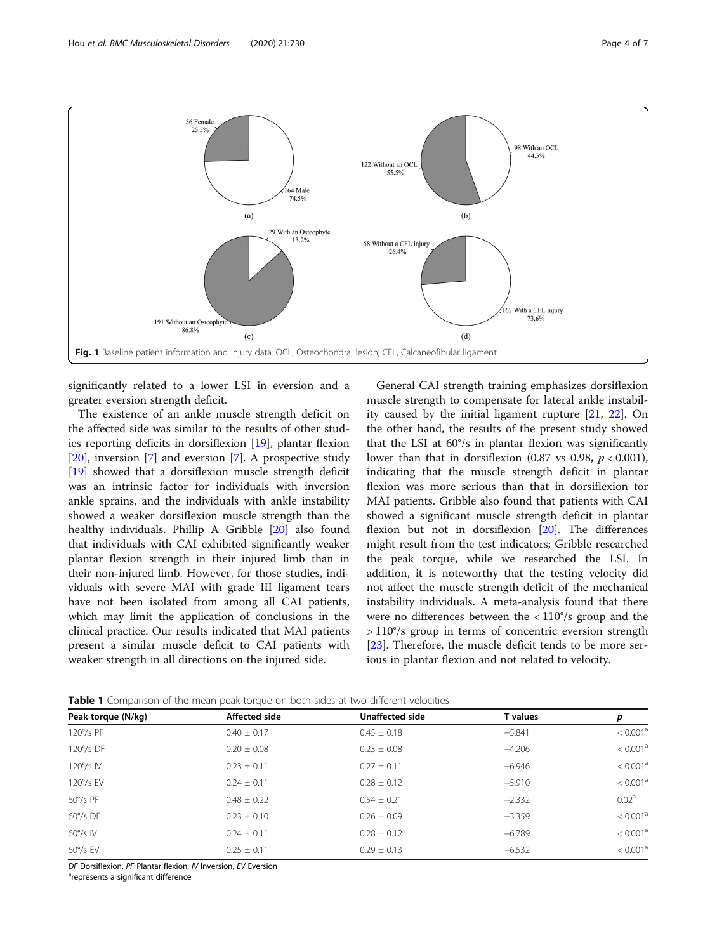<span id="page-3-0"></span>

significantly related to a lower LSI in eversion and a greater eversion strength deficit.

The existence of an ankle muscle strength deficit on the affected side was similar to the results of other studies reporting deficits in dorsiflexion [[19](#page-6-0)], plantar flexion [[20\]](#page-6-0), inversion [[7\]](#page-6-0) and eversion [\[7\]](#page-6-0). A prospective study [[19\]](#page-6-0) showed that a dorsiflexion muscle strength deficit was an intrinsic factor for individuals with inversion ankle sprains, and the individuals with ankle instability showed a weaker dorsiflexion muscle strength than the healthy individuals. Phillip A Gribble [[20\]](#page-6-0) also found that individuals with CAI exhibited significantly weaker plantar flexion strength in their injured limb than in their non-injured limb. However, for those studies, individuals with severe MAI with grade III ligament tears have not been isolated from among all CAI patients, which may limit the application of conclusions in the clinical practice. Our results indicated that MAI patients present a similar muscle deficit to CAI patients with weaker strength in all directions on the injured side.

General CAI strength training emphasizes dorsiflexion muscle strength to compensate for lateral ankle instability caused by the initial ligament rupture [\[21](#page-6-0), [22\]](#page-6-0). On the other hand, the results of the present study showed that the LSI at 60°/s in plantar flexion was significantly lower than that in dorsiflexion (0.87 vs 0.98,  $p < 0.001$ ), indicating that the muscle strength deficit in plantar flexion was more serious than that in dorsiflexion for MAI patients. Gribble also found that patients with CAI showed a significant muscle strength deficit in plantar flexion but not in dorsiflexion [[20](#page-6-0)]. The differences might result from the test indicators; Gribble researched the peak torque, while we researched the LSI. In addition, it is noteworthy that the testing velocity did not affect the muscle strength deficit of the mechanical instability individuals. A meta-analysis found that there were no differences between the < 110°/s group and the > 110°/s group in terms of concentric eversion strength [[23\]](#page-6-0). Therefore, the muscle deficit tends to be more serious in plantar flexion and not related to velocity.

| Peak torque (N/kg) | Affected side   | Unaffected side | T values | р                    |
|--------------------|-----------------|-----------------|----------|----------------------|
| $120^{\circ}/s$ PF | $0.40 \pm 0.17$ | $0.45 \pm 0.18$ | $-5.841$ | < 0.001 <sup>a</sup> |
| 120°/s DF          | $0.20 \pm 0.08$ | $0.23 \pm 0.08$ | $-4.206$ | < 0.001 <sup>a</sup> |
| $120^{\circ}/s$ IV | $0.23 \pm 0.11$ | $0.27 + 0.11$   | $-6.946$ | < 0.001 <sup>a</sup> |
| $120^{\circ}/s$ EV | $0.24 + 0.11$   | $0.28 + 0.12$   | $-5.910$ | < 0.001 <sup>a</sup> |
| $60^{\circ}/s$ PF  | $0.48 + 0.22$   | $0.54 + 0.21$   | $-2.332$ | 0.02 <sup>a</sup>    |
| $60^{\circ}/s$ DF  | $0.23 \pm 0.10$ | $0.26 \pm 0.09$ | $-3.359$ | < 0.001 <sup>a</sup> |
| $60^{\circ}/s$ IV  | $0.24 + 0.11$   | $0.28 + 0.12$   | $-6.789$ | < 0.001 <sup>a</sup> |
| $60^{\circ}/s$ EV  | $0.25 + 0.11$   | $0.29 \pm 0.13$ | $-6.532$ | < 0.001 <sup>a</sup> |

**Table 1** Comparison of the mean peak torque on both sides at two different velocities

DF Dorsiflexion, PF Plantar flexion, IV Inversion, EV Eversion

<sup>a</sup>represents a significant difference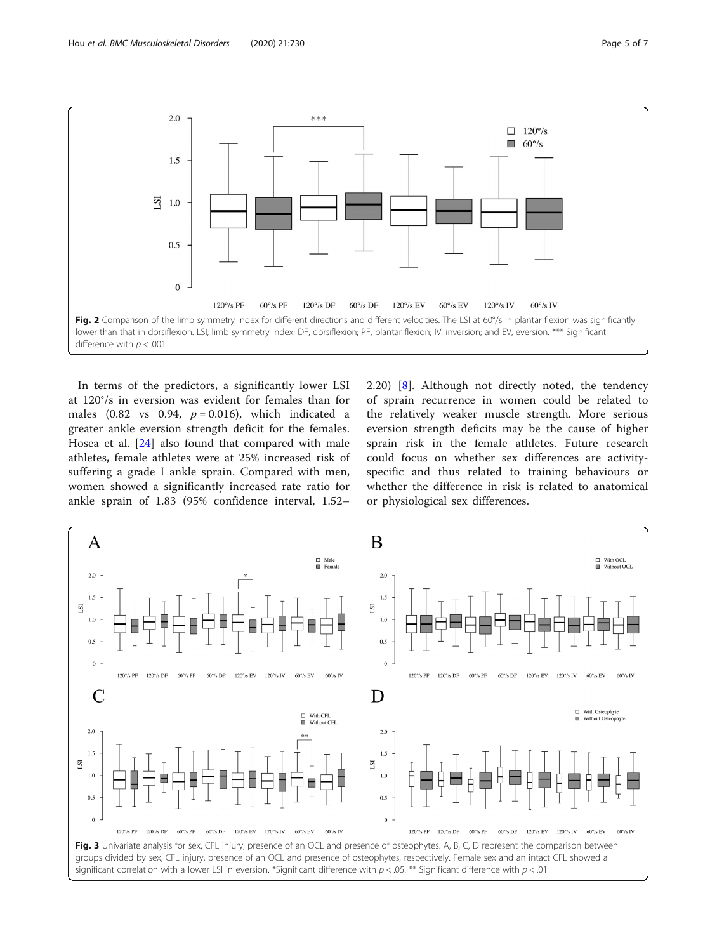<span id="page-4-0"></span>

In terms of the predictors, a significantly lower LSI at 120°/s in eversion was evident for females than for males (0.82 vs 0.94,  $p = 0.016$ ), which indicated a greater ankle eversion strength deficit for the females. Hosea et al. [\[24](#page-6-0)] also found that compared with male athletes, female athletes were at 25% increased risk of suffering a grade I ankle sprain. Compared with men, women showed a significantly increased rate ratio for ankle sprain of 1.83 (95% confidence interval, 1.52–

2.20) [[8](#page-6-0)]. Although not directly noted, the tendency of sprain recurrence in women could be related to the relatively weaker muscle strength. More serious eversion strength deficits may be the cause of higher sprain risk in the female athletes. Future research could focus on whether sex differences are activityspecific and thus related to training behaviours or whether the difference in risk is related to anatomical or physiological sex differences.

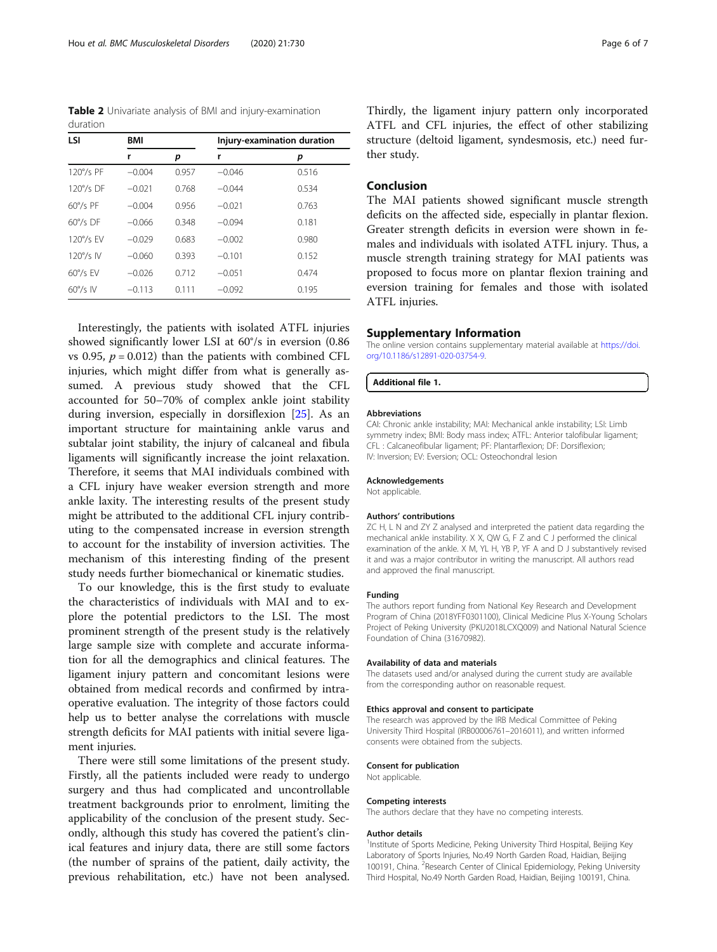<span id="page-5-0"></span>Table 2 Univariate analysis of BMI and injury-examination duration

| LSI                | BMI      |       | Injury-examination duration |       |
|--------------------|----------|-------|-----------------------------|-------|
|                    | r        | р     | r                           | p     |
| 120°/s PF          | $-0.004$ | 0.957 | $-0.046$                    | 0.516 |
| $120^{\circ}/s$ DF | $-0.021$ | 0.768 | $-0.044$                    | 0.534 |
| $60^{\circ}/s$ PF  | $-0.004$ | 0.956 | $-0.021$                    | 0.763 |
| $60^{\circ}/s$ DF  | $-0.066$ | 0.348 | $-0.094$                    | 0.181 |
| $120^{\circ}/s$ FV | $-0.029$ | 0.683 | $-0.002$                    | 0.980 |
| $120^{\circ}/s$ IV | $-0.060$ | 0.393 | $-0.101$                    | 0.152 |
| $60^{\circ}/s$ FV  | $-0.026$ | 0.712 | $-0.051$                    | 0.474 |
| $60^{\circ}/s$ IV  | $-0.113$ | 0.111 | $-0.092$                    | 0.195 |

Interestingly, the patients with isolated ATFL injuries showed significantly lower LSI at 60°/s in eversion (0.86 vs 0.95,  $p = 0.012$ ) than the patients with combined CFL injuries, which might differ from what is generally assumed. A previous study showed that the CFL accounted for 50–70% of complex ankle joint stability during inversion, especially in dorsiflexion [\[25](#page-6-0)]. As an important structure for maintaining ankle varus and subtalar joint stability, the injury of calcaneal and fibula ligaments will significantly increase the joint relaxation. Therefore, it seems that MAI individuals combined with a CFL injury have weaker eversion strength and more ankle laxity. The interesting results of the present study might be attributed to the additional CFL injury contributing to the compensated increase in eversion strength to account for the instability of inversion activities. The mechanism of this interesting finding of the present study needs further biomechanical or kinematic studies.

To our knowledge, this is the first study to evaluate the characteristics of individuals with MAI and to explore the potential predictors to the LSI. The most prominent strength of the present study is the relatively large sample size with complete and accurate information for all the demographics and clinical features. The ligament injury pattern and concomitant lesions were obtained from medical records and confirmed by intraoperative evaluation. The integrity of those factors could help us to better analyse the correlations with muscle strength deficits for MAI patients with initial severe ligament injuries.

There were still some limitations of the present study. Firstly, all the patients included were ready to undergo surgery and thus had complicated and uncontrollable treatment backgrounds prior to enrolment, limiting the applicability of the conclusion of the present study. Secondly, although this study has covered the patient's clinical features and injury data, there are still some factors (the number of sprains of the patient, daily activity, the previous rehabilitation, etc.) have not been analysed. Thirdly, the ligament injury pattern only incorporated ATFL and CFL injuries, the effect of other stabilizing structure (deltoid ligament, syndesmosis, etc.) need further study.

## Conclusion

The MAI patients showed significant muscle strength deficits on the affected side, especially in plantar flexion. Greater strength deficits in eversion were shown in females and individuals with isolated ATFL injury. Thus, a muscle strength training strategy for MAI patients was proposed to focus more on plantar flexion training and eversion training for females and those with isolated ATFL injuries.

## Supplementary Information

The online version contains supplementary material available at [https://doi.](https://doi.org/10.1186/s12891-020-03754-9) [org/10.1186/s12891-020-03754-9.](https://doi.org/10.1186/s12891-020-03754-9)

#### Additional file 1.

#### Abbreviations

CAI: Chronic ankle instability; MAI: Mechanical ankle instability; LSI: Limb symmetry index; BMI: Body mass index; ATFL: Anterior talofibular ligament; CFL : Calcaneofibular ligament; PF: Plantarflexion; DF: Dorsiflexion; IV: Inversion; EV: Eversion; OCL: Osteochondral lesion

#### Acknowledgements

Not applicable.

#### Authors' contributions

ZC H, L N and ZY Z analysed and interpreted the patient data regarding the mechanical ankle instability. X X, QW G, F Z and C J performed the clinical examination of the ankle. X M, YL H, YB P, YF A and D J substantively revised it and was a major contributor in writing the manuscript. All authors read and approved the final manuscript.

## Funding

The authors report funding from National Key Research and Development Program of China (2018YFF0301100), Clinical Medicine Plus X-Young Scholars Project of Peking University (PKU2018LCXQ009) and National Natural Science Foundation of China (31670982).

#### Availability of data and materials

The datasets used and/or analysed during the current study are available from the corresponding author on reasonable request.

#### Ethics approval and consent to participate

The research was approved by the IRB Medical Committee of Peking University Third Hospital (IRB00006761–2016011), and written informed consents were obtained from the subjects.

#### Consent for publication

Not applicable.

#### Competing interests

The authors declare that they have no competing interests.

#### Author details

<sup>1</sup>Institute of Sports Medicine, Peking University Third Hospital, Beijing Key Laboratory of Sports Injuries, No.49 North Garden Road, Haidian, Beijing 100191, China. <sup>2</sup>Research Center of Clinical Epidemiology, Peking University Third Hospital, No.49 North Garden Road, Haidian, Beijing 100191, China.